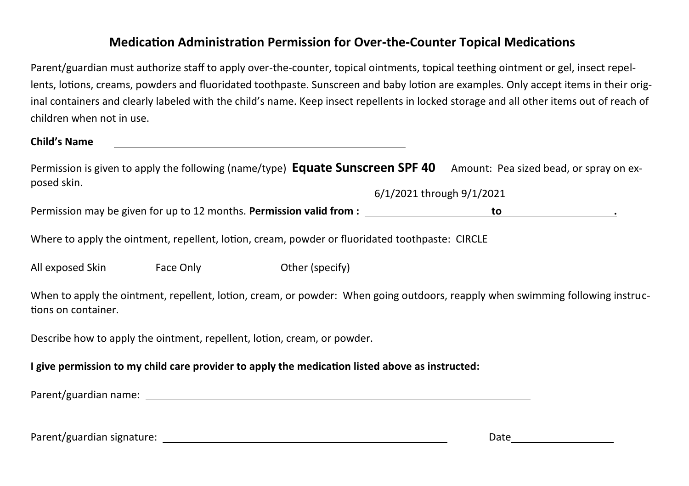### **Medication Administration Permission for Over-the-Counter Topical Medications**

Parent/guardian must authorize staff to apply over-the-counter, topical ointments, topical teething ointment or gel, insect repellents, lotions, creams, powders and fluoridated toothpaste. Sunscreen and baby lotion are examples. Only accept items in their original containers and clearly labeled with the child's name. Keep insect repellents in locked storage and all other items out of reach of children when not in use.

**Child's Name** 

Permission is given to apply the following (name/type) **Equate Sunscreen SPF 40** Amount: Pea sized bead, or spray on exposed skin.

6/1/2021 through 9/1/2021

Permission may be given for up to 12 months. **Permission valid from : to .**

Where to apply the ointment, repellent, lotion, cream, powder or fluoridated toothpaste: CIRCLE

All exposed Skin Face Only Face Only Other (specify)

When to apply the ointment, repellent, lotion, cream, or powder: When going outdoors, reapply when swimming following instructions on container.

Describe how to apply the ointment, repellent, lotion, cream, or powder.

**I give permission to my child care provider to apply the medication listed above as instructed:**

Parent/guardian name:

Parent/guardian signature: Date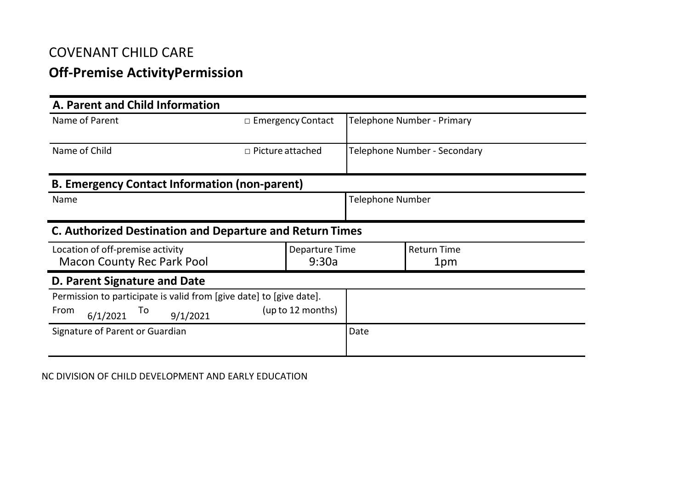## **Off-Premise ActivityPermission**

| A. Parent and Child Information                                     |                          |                   |                              |                    |
|---------------------------------------------------------------------|--------------------------|-------------------|------------------------------|--------------------|
| Name of Parent                                                      | $\Box$ Emergency Contact |                   | Telephone Number - Primary   |                    |
|                                                                     |                          |                   |                              |                    |
| Name of Child                                                       | $\Box$ Picture attached  |                   | Telephone Number - Secondary |                    |
|                                                                     |                          |                   |                              |                    |
| <b>B. Emergency Contact Information (non-parent)</b>                |                          |                   |                              |                    |
| Name                                                                |                          |                   | <b>Telephone Number</b>      |                    |
|                                                                     |                          |                   |                              |                    |
| <b>C. Authorized Destination and Departure and Return Times</b>     |                          |                   |                              |                    |
| Location of off-premise activity                                    |                          | Departure Time    |                              | <b>Return Time</b> |
| Macon County Rec Park Pool                                          |                          | 9:30a             |                              | 1pm                |
| D. Parent Signature and Date                                        |                          |                   |                              |                    |
| Permission to participate is valid from [give date] to [give date]. |                          |                   |                              |                    |
| From<br>To<br>6/1/2021<br>9/1/2021                                  |                          | (up to 12 months) |                              |                    |
| Signature of Parent or Guardian                                     |                          | Date              |                              |                    |
|                                                                     |                          |                   |                              |                    |

NC DIVISION OF CHILD DEVELOPMENT AND EARLY EDUCATION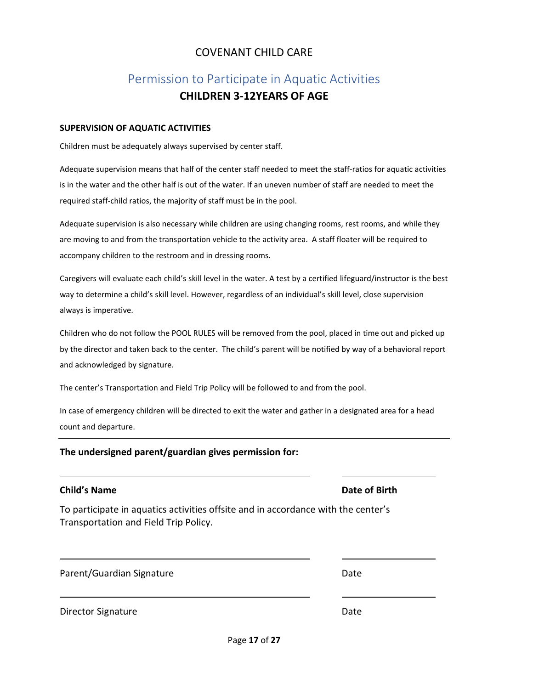# Permission to Participate in Aquatic Activities **CHILDREN 3-12YEARS OF AGE**

#### **SUPERVISION OF AQUATIC ACTIVITIES**

Children must be adequately always supervised by center staff.

Adequate supervision means that half of the center staff needed to meet the staff-ratios for aquatic activities is in the water and the other half is out of the water. If an uneven number of staff are needed to meet the required staff-child ratios, the majority of staff must be in the pool.

Adequate supervision is also necessary while children are using changing rooms, rest rooms, and while they are moving to and from the transportation vehicle to the activity area. A staff floater will be required to accompany children to the restroom and in dressing rooms.

Caregivers will evaluate each child's skill level in the water. A test by a certified lifeguard/instructor is the best way to determine a child's skill level. However, regardless of an individual's skill level, close supervision always is imperative.

Children who do not follow the POOL RULES will be removed from the pool, placed in time out and picked up by the director and taken back to the center. The child's parent will be notified by way of a behavioral report and acknowledged by signature.

The center's Transportation and Field Trip Policy will be followed to and from the pool.

In case of emergency children will be directed to exit the water and gather in a designated area for a head count and departure.

### **The undersigned parent/guardian gives permission for:**

#### **Child's Name Date of Birth**

To participate in aquatics activities offsite and in accordance with the center's Transportation and Field Trip Policy.

Parent/Guardian Signature Date

Director Signature Date Date Date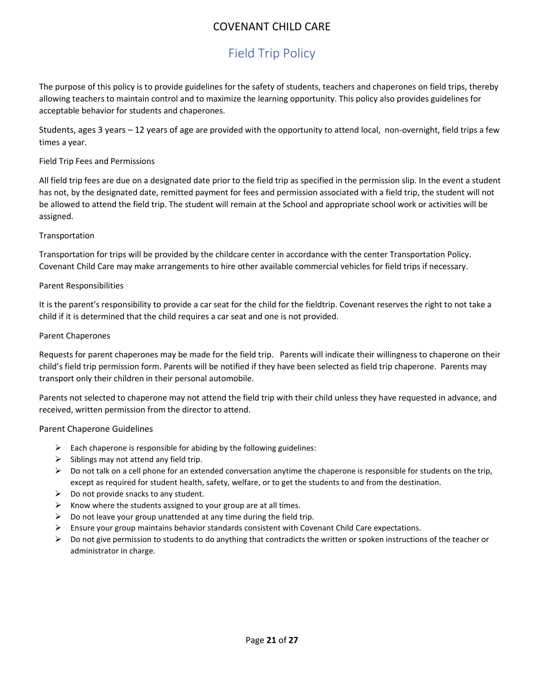# Field Trip Policy

The purpose of this policy is to provide guidelines for the safety of students, teachers and chaperones on field trips, thereby allowing teachers to maintain control and to maximize the learning opportunity. This policy also provides guidelines for acceptable behavior for students and chaperones.

Students, ages 3 years – 12 years of age are provided with the opportunity to attend local, non-overnight, field trips a few times a year.

#### Field Trip Fees and Permissions

All field trip fees are due on a designated date prior to the field trip as specified in the permission slip. In the event a student has not, by the designated date, remitted payment for fees and permission associated with a field trip, the student will not be allowed to attend the field trip. The student will remain at the School and appropriate school work or activities will be assigned.

#### Transportation

Transportation for trips will be provided by the childcare center in accordance with the center Transportation Policy. Covenant Child Care may make arrangements to hire other available commercial vehicles for field trips if necessary.

#### Parent Responsibilities

It is the parent's responsibility to provide a car seat for the child for the fieldtrip. Covenant reserves the right to not take a child if it is determined that the child requires a car seat and one is not provided.

#### Parent Chaperones

Requests for parent chaperones may be made for the field trip. Parents will indicate their willingness to chaperone on their child's field trip permission form. Parents will be notified if they have been selected as field trip chaperone. Parents may transport only their children in their personal automobile.

Parents not selected to chaperone may not attend the field trip with their child unless they have requested in advance, and received, written permission from the director to attend.

#### Parent Chaperone Guidelines

- $\triangleright$  Each chaperone is responsible for abiding by the following guidelines:
- $\triangleright$  Siblings may not attend any field trip.
- $\triangleright$  Do not talk on a cell phone for an extended conversation anytime the chaperone is responsible for students on the trip, except as required for student health, safety, welfare, or to get the students to and from the destination.
- $\triangleright$  Do not provide snacks to any student.
- $\triangleright$  Know where the students assigned to your group are at all times.
- $\triangleright$  Do not leave your group unattended at any time during the field trip.
- Ensure your group maintains behavior standards consistent with Covenant Child Care expectations.
- $\triangleright$  Do not give permission to students to do anything that contradicts the written or spoken instructions of the teacher or administrator in charge.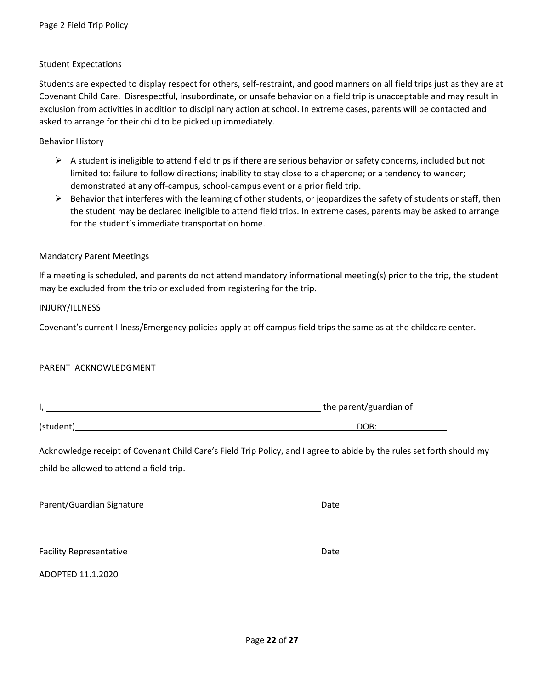#### Student Expectations

Students are expected to display respect for others, self-restraint, and good manners on all field trips just as they are at Covenant Child Care. Disrespectful, insubordinate, or unsafe behavior on a field trip is unacceptable and may result in exclusion from activities in addition to disciplinary action at school. In extreme cases, parents will be contacted and asked to arrange for their child to be picked up immediately.

Behavior History

- $\triangleright$  A student is ineligible to attend field trips if there are serious behavior or safety concerns, included but not limited to: failure to follow directions; inability to stay close to a chaperone; or a tendency to wander; demonstrated at any off-campus, school-campus event or a prior field trip.
- $\triangleright$  Behavior that interferes with the learning of other students, or jeopardizes the safety of students or staff, then the student may be declared ineligible to attend field trips. In extreme cases, parents may be asked to arrange for the student's immediate transportation home.

#### Mandatory Parent Meetings

If a meeting is scheduled, and parents do not attend mandatory informational meeting(s) prior to the trip, the student may be excluded from the trip or excluded from registering for the trip.

INJURY/ILLNESS

Covenant's current Illness/Emergency policies apply at off campus field trips the same as at the childcare center.

#### PARENT ACKNOWLEDGMENT

|  | the parent/guardian of |
|--|------------------------|
|  |                        |

(student) DOB:

Acknowledge receipt of Covenant Child Care's Field Trip Policy, and I agree to abide by the rules set forth should my child be allowed to attend a field trip.

Parent/Guardian Signature Date Date

Facility Representative **Date** 

ADOPTED 11.1.2020